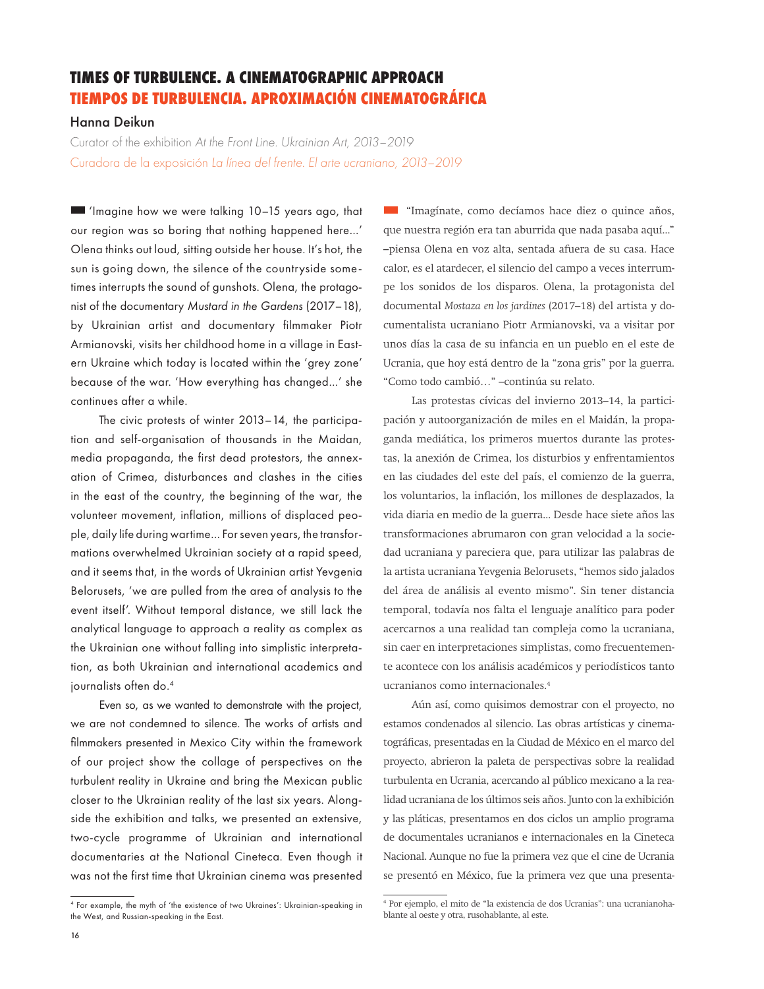## **TIMES OF TURBULENCE. A CINEMATOGRAPHIC APPROACH TIEMPOS DE TURBULENCIA. APROXIMACIÓN CINEMATOGRÁFICA**

## Hanna Deikun

Curator of the exhibition *At the Front Line. Ukrainian Art, 2013–2019*  Curadora de la exposición *La línea del frente. El arte ucraniano, 2013–2019*

 'Imagine how we were talking 10–15 years ago, that our region was so boring that nothing happened here…' Olena thinks out loud, sitting outside her house. It's hot, the sun is going down, the silence of the countryside sometimes interrupts the sound of gunshots. Olena, the protagonist of the documentary *Mustard in the Gardens* (2017–18), by Ukrainian artist and documentary filmmaker Piotr Armianovski, visits her childhood home in a village in Eastern Ukraine which today is located within the 'grey zone' because of the war. 'How everything has changed…' she continues after a while.

The civic protests of winter 2013–14, the participation and self-organisation of thousands in the Maidan, media propaganda, the first dead protestors, the annexation of Crimea, disturbances and clashes in the cities in the east of the country, the beginning of the war, the volunteer movement, inflation, millions of displaced people, daily life during wartime… For seven years, the transformations overwhelmed Ukrainian society at a rapid speed, and it seems that, in the words of Ukrainian artist Yevgenia Belorusets, 'we are pulled from the area of analysis to the event itself'. Without temporal distance, we still lack the analytical language to approach a reality as complex as the Ukrainian one without falling into simplistic interpretation, as both Ukrainian and international academics and journalists often do.<sup>4</sup>

Even so, as we wanted to demonstrate with the project, we are not condemned to silence. The works of artists and filmmakers presented in Mexico City within the framework of our project show the collage of perspectives on the turbulent reality in Ukraine and bring the Mexican public closer to the Ukrainian reality of the last six years. Alongside the exhibition and talks, we presented an extensive, two-cycle programme of Ukrainian and international documentaries at the National Cineteca. Even though it was not the first time that Ukrainian cinema was presented

**Example 1** "Imagínate, como decíamos hace diez o quince años, que nuestra región era tan aburrida que nada pasaba aquí..." –piensa Olena en voz alta, sentada afuera de su casa. Hace calor, es el atardecer, el silencio del campo a veces interrumpe los sonidos de los disparos. Olena, la protagonista del documental *Mostaza en los jardines* (2017–18) del artista y documentalista ucraniano Piotr Armianovski, va a visitar por unos días la casa de su infancia en un pueblo en el este de Ucrania, que hoy está dentro de la "zona gris" por la guerra. "Como todo cambió…" –continúa su relato.

Las protestas cívicas del invierno 2013–14, la participación y autoorganización de miles en el Maidán, la propaganda mediática, los primeros muertos durante las protestas, la anexión de Crimea, los disturbios y enfrentamientos en las ciudades del este del país, el comienzo de la guerra, los voluntarios, la inflación, los millones de desplazados, la vida diaria en medio de la guerra... Desde hace siete años las transformaciones abrumaron con gran velocidad a la sociedad ucraniana y pareciera que, para utilizar las palabras de la artista ucraniana Yevgenia Belorusets, "hemos sido jalados del área de análisis al evento mismo". Sin tener distancia temporal, todavía nos falta el lenguaje analítico para poder acercarnos a una realidad tan compleja como la ucraniana, sin caer en interpretaciones simplistas, como frecuentemente acontece con los análisis académicos y periodísticos tanto ucranianos como internacionales.4

Aún así, como quisimos demostrar con el proyecto, no estamos condenados al silencio. Las obras artísticas y cinematográficas, presentadas en la Ciudad de México en el marco del proyecto, abrieron la paleta de perspectivas sobre la realidad turbulenta en Ucrania, acercando al público mexicano a la realidad ucraniana de los últimos seis años. Junto con la exhibición y las pláticas, presentamos en dos ciclos un amplio programa de documentales ucranianos e internacionales en la Cineteca Nacional. Aunque no fue la primera vez que el cine de Ucrania se presentó en México, fue la primera vez que una presenta-

<sup>4</sup> For example, the myth of 'the existence of two Ukraines': Ukrainian-speaking in the West, and Russian-speaking in the East.

<sup>4</sup> Por ejemplo, el mito de "la existencia de dos Ucranias": una ucranianohablante al oeste y otra, rusohablante, al este.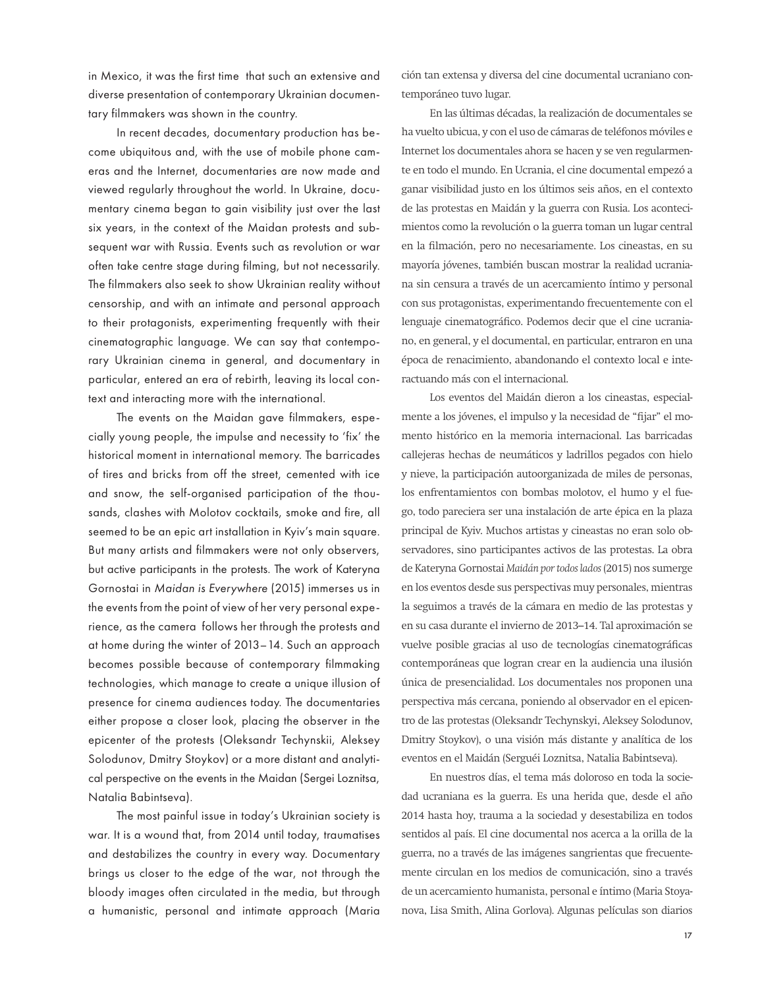in Mexico, it was the first time that such an extensive and diverse presentation of contemporary Ukrainian documentary filmmakers was shown in the country.

In recent decades, documentary production has become ubiquitous and, with the use of mobile phone cameras and the Internet, documentaries are now made and viewed regularly throughout the world. In Ukraine, documentary cinema began to gain visibility just over the last six years, in the context of the Maidan protests and subsequent war with Russia. Events such as revolution or war often take centre stage during filming, but not necessarily. The filmmakers also seek to show Ukrainian reality without censorship, and with an intimate and personal approach to their protagonists, experimenting frequently with their cinematographic language. We can say that contemporary Ukrainian cinema in general, and documentary in particular, entered an era of rebirth, leaving its local context and interacting more with the international.

The events on the Maidan gave filmmakers, especially young people, the impulse and necessity to 'fix' the historical moment in international memory. The barricades of tires and bricks from off the street, cemented with ice and snow, the self-organised participation of the thousands, clashes with Molotov cocktails, smoke and fire, all seemed to be an epic art installation in Kyiv's main square. But many artists and filmmakers were not only observers, but active participants in the protests. The work of Kateryna Gornostai in *Maidan is Everywhere* (2015) immerses us in the events from the point of view of her very personal experience, as the camera follows her through the protests and at home during the winter of 2013–14. Such an approach becomes possible because of contemporary filmmaking technologies, which manage to create a unique illusion of presence for cinema audiences today. The documentaries either propose a closer look, placing the observer in the epicenter of the protests (Oleksandr Techynskii, Aleksey Solodunov, Dmitry Stoykov) or a more distant and analytical perspective on the events in the Maidan (Sergei Loznitsa, Natalia Babintseva).

The most painful issue in today's Ukrainian society is war. It is a wound that, from 2014 until today, traumatises and destabilizes the country in every way. Documentary brings us closer to the edge of the war, not through the bloody images often circulated in the media, but through a humanistic, personal and intimate approach (Maria ción tan extensa y diversa del cine documental ucraniano contemporáneo tuvo lugar.

En las últimas décadas, la realización de documentales se ha vuelto ubicua, y con el uso de cámaras de teléfonos móviles e Internet los documentales ahora se hacen y se ven regularmente en todo el mundo. En Ucrania, el cine documental empezó a ganar visibilidad justo en los últimos seis años, en el contexto de las protestas en Maidán y la guerra con Rusia. Los acontecimientos como la revolución o la guerra toman un lugar central en la filmación, pero no necesariamente. Los cineastas, en su mayoría jóvenes, también buscan mostrar la realidad ucraniana sin censura a través de un acercamiento íntimo y personal con sus protagonistas, experimentando frecuentemente con el lenguaje cinematográfico. Podemos decir que el cine ucraniano, en general, y el documental, en particular, entraron en una época de renacimiento, abandonando el contexto local e interactuando más con el internacional.

Los eventos del Maidán dieron a los cineastas, especialmente a los jóvenes, el impulso y la necesidad de "fijar" el momento histórico en la memoria internacional. Las barricadas callejeras hechas de neumáticos y ladrillos pegados con hielo y nieve, la participación autoorganizada de miles de personas, los enfrentamientos con bombas molotov, el humo y el fuego, todo pareciera ser una instalación de arte épica en la plaza principal de Kyiv. Muchos artistas y cineastas no eran solo observadores, sino participantes activos de las protestas. La obra de Kateryna Gornostai *Maidán por todos lados* (2015) nos sumerge en los eventos desde sus perspectivas muy personales, mientras la seguimos a través de la cámara en medio de las protestas y en su casa durante el invierno de 2013–14. Tal aproximación se vuelve posible gracias al uso de tecnologías cinematográficas contemporáneas que logran crear en la audiencia una ilusión única de presencialidad. Los documentales nos proponen una perspectiva más cercana, poniendo al observador en el epicentro de las protestas (Oleksandr Techynskyi, Aleksey Solodunov, Dmitry Stoykov), o una visión más distante y analítica de los eventos en el Maidán (Serguéi Loznitsa, Natalia Babintseva).

En nuestros días, el tema más doloroso en toda la sociedad ucraniana es la guerra. Es una herida que, desde el año 2014 hasta hoy, trauma a la sociedad y desestabiliza en todos sentidos al país. El cine documental nos acerca a la orilla de la guerra, no a través de las imágenes sangrientas que frecuentemente circulan en los medios de comunicación, sino a través de un acercamiento humanista, personal e íntimo (Maria Stoyanova, Lisa Smith, Alina Gorlova). Algunas películas son diarios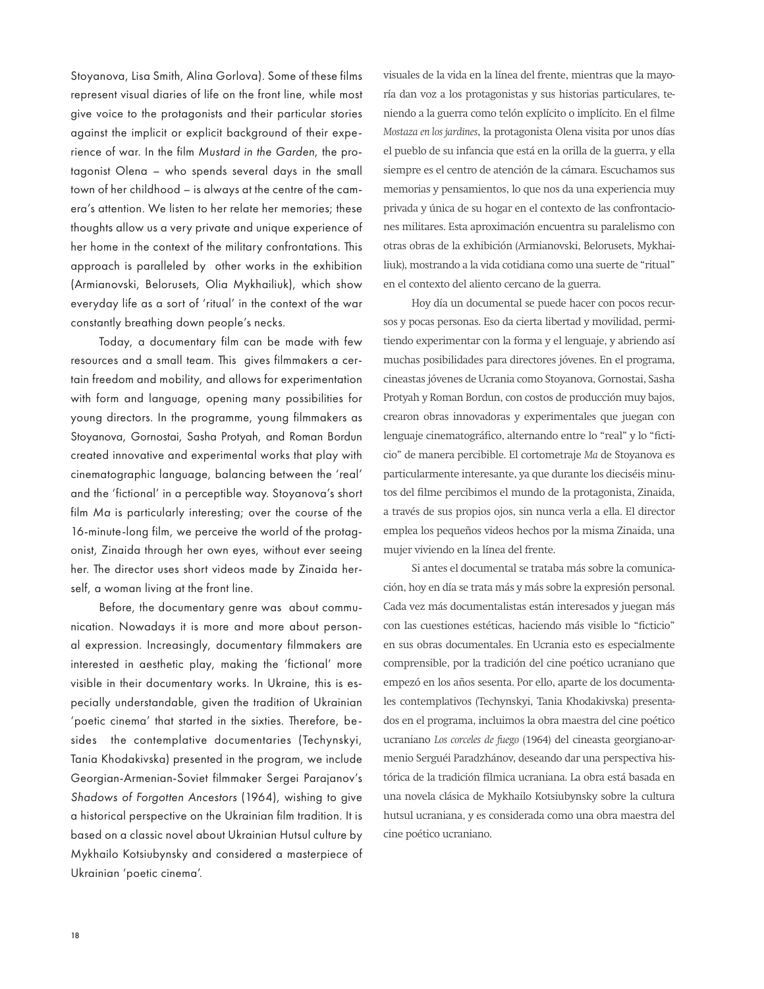Stoyanova, Lisa Smith, Alina Gorlova). Some of these films represent visual diaries of life on the front line, while most give voice to the protagonists and their particular stories against the implicit or explicit background of their experience of war. In the film *Mustard in the Garden*, the protagonist Olena – who spends several days in the small town of her childhood – is always at the centre of the camera's attention. We listen to her relate her memories; these thoughts allow us a very private and unique experience of her home in the context of the military confrontations. This approach is paralleled by other works in the exhibition (Armianovski, Belorusets, Olia Mykhailiuk), which show everyday life as a sort of 'ritual' in the context of the war constantly breathing down people's necks.

Today, a documentary film can be made with few resources and a small team. This gives filmmakers a certain freedom and mobility, and allows for experimentation with form and language, opening many possibilities for young directors. In the programme, young filmmakers as Stoyanova, Gornostai, Sasha Protyah, and Roman Bordun created innovative and experimental works that play with cinematographic language, balancing between the 'real' and the 'fictional' in a perceptible way. Stoyanova's short film *Ma* is particularly interesting; over the course of the 16-minute-long film, we perceive the world of the protagonist, Zinaida through her own eyes, without ever seeing her. The director uses short videos made by Zinaida herself, a woman living at the front line.

Before, the documentary genre was about communication. Nowadays it is more and more about personal expression. Increasingly, documentary filmmakers are interested in aesthetic play, making the 'fictional' more visible in their documentary works. In Ukraine, this is especially understandable, given the tradition of Ukrainian 'poetic cinema' that started in the sixties. Therefore, besides the contemplative documentaries (Techynskyi, Tania Khodakivska) presented in the program, we include Georgian-Armenian-Soviet filmmaker Sergei Parajanov's *Shadows of Forgotten Ancestors* (1964), wishing to give a historical perspective on the Ukrainian film tradition. It is based on a classic novel about Ukrainian Hutsul culture by Mykhailo Kotsiubynsky and considered a masterpiece of Ukrainian 'poetic cinema'.

visuales de la vida en la línea del frente, mientras que la mayoría dan voz a los protagonistas y sus historias particulares, teniendo a la guerra como telón explícito o implícito. En el filme *Mostaza en los jardines*, la protagonista Olena visita por unos días el pueblo de su infancia que está en la orilla de la guerra, y ella siempre es el centro de atención de la cámara. Escuchamos sus memorias y pensamientos, lo que nos da una experiencia muy privada y única de su hogar en el contexto de las confrontaciones militares. Esta aproximación encuentra su paralelismo con otras obras de la exhibición (Armianovski, Belorusets, Mykhailiuk), mostrando a la vida cotidiana como una suerte de "ritual" en el contexto del aliento cercano de la guerra.

Hoy día un documental se puede hacer con pocos recursos y pocas personas. Eso da cierta libertad y movilidad, permitiendo experimentar con la forma y el lenguaje, y abriendo así muchas posibilidades para directores jóvenes. En el programa, cineastas jóvenes de Ucrania como Stoyanova, Gornostai, Sasha Protyah y Roman Bordun, con costos de producción muy bajos, crearon obras innovadoras y experimentales que juegan con lenguaje cinematográfico, alternando entre lo "real" y lo "ficticio" de manera percibible. El cortometraje *Ma* de Stoyanova es particularmente interesante, ya que durante los dieciséis minutos del filme percibimos el mundo de la protagonista, Zinaida, a través de sus propios ojos, sin nunca verla a ella. El director emplea los pequeños videos hechos por la misma Zinaida, una mujer viviendo en la línea del frente.

Si antes el documental se trataba más sobre la comunicación, hoy en día se trata más y más sobre la expresión personal. Cada vez más documentalistas están interesados y juegan más con las cuestiones estéticas, haciendo más visible lo "ficticio" en sus obras documentales. En Ucrania esto es especialmente comprensible, por la tradición del cine poético ucraniano que empezó en los años sesenta. Por ello, aparte de los documentales contemplativos (Techynskyi, Tania Khodakivska) presentados en el programa, incluimos la obra maestra del cine poético ucraniano *Los corceles de fuego* (1964) del cineasta georgiano-armenio Serguéi Paradzhánov, deseando dar una perspectiva histórica de la tradición fílmica ucraniana. La obra está basada en una novela clásica de Mykhailo Kotsiubynsky sobre la cultura hutsul ucraniana, y es considerada como una obra maestra del cine poético ucraniano.